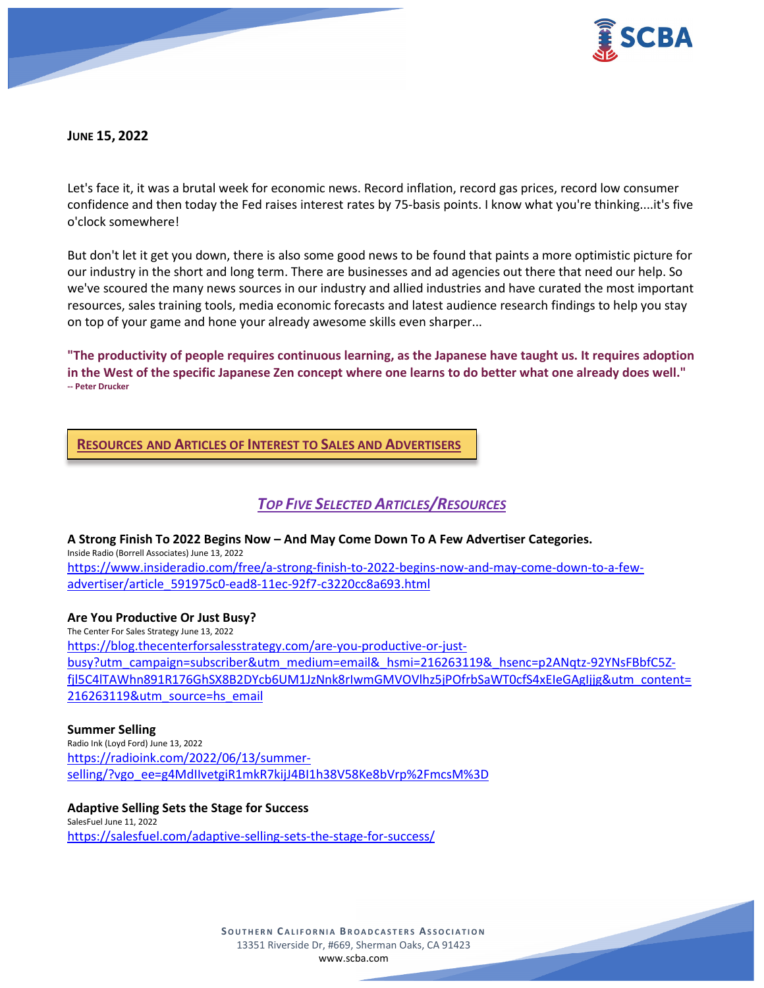

**JUNE 15, 2022**

Let's face it, it was a brutal week for economic news. Record inflation, record gas prices, record low consumer confidence and then today the Fed raises interest rates by 75-basis points. I know what you're thinking....it's five o'clock somewhere!

But don't let it get you down, there is also some good news to be found that paints a more optimistic picture for our industry in the short and long term. There are businesses and ad agencies out there that need our help. So we've scoured the many news sources in our industry and allied industries and have curated the most important resources, sales training tools, media economic forecasts and latest audience research findings to help you stay on top of your game and hone your already awesome skills even sharper...

**"The productivity of people requires continuous learning, as the Japanese have taught us. It requires adoption in the West of the specific Japanese Zen concept where one learns to do better what one already does well." -- Peter Drucker**

**RESOURCES AND ARTICLES OF INTEREST TO SALES AND ADVERTISERS**

# *TOP FIVE SELECTED ARTICLES/RESOURCES*

**A Strong Finish To 2022 Begins Now – And May Come Down To A Few Advertiser Categories.**

Inside Radio (Borrell Associates) June 13, 2022 [https://www.insideradio.com/free/a-strong-finish-to-2022-begins-now-and-may-come-down-to-a-few](https://www.insideradio.com/free/a-strong-finish-to-2022-begins-now-and-may-come-down-to-a-few-advertiser/article_591975c0-ead8-11ec-92f7-c3220cc8a693.html)[advertiser/article\\_591975c0-ead8-11ec-92f7-c3220cc8a693.html](https://www.insideradio.com/free/a-strong-finish-to-2022-begins-now-and-may-come-down-to-a-few-advertiser/article_591975c0-ead8-11ec-92f7-c3220cc8a693.html)

#### **Are You Productive Or Just Busy?**

The Center For Sales Strategy June 13, 2022 [https://blog.thecenterforsalesstrategy.com/are-you-productive-or-just](https://blog.thecenterforsalesstrategy.com/are-you-productive-or-just-busy?utm_campaign=subscriber&utm_medium=email&_hsmi=216263119&_hsenc=p2ANqtz-92YNsFBbfC5Z-fjl5C4lTAWhn891R176GhSX8B2DYcb6UM1JzNnk8rIwmGMVOVlhz5jPOfrbSaWT0cfS4xEIeGAgIjjg&utm_content=216263119&utm_source=hs_email)[busy?utm\\_campaign=subscriber&utm\\_medium=email&\\_hsmi=216263119&\\_hsenc=p2ANqtz-92YNsFBbfC5Z](https://blog.thecenterforsalesstrategy.com/are-you-productive-or-just-busy?utm_campaign=subscriber&utm_medium=email&_hsmi=216263119&_hsenc=p2ANqtz-92YNsFBbfC5Z-fjl5C4lTAWhn891R176GhSX8B2DYcb6UM1JzNnk8rIwmGMVOVlhz5jPOfrbSaWT0cfS4xEIeGAgIjjg&utm_content=216263119&utm_source=hs_email)[fjl5C4lTAWhn891R176GhSX8B2DYcb6UM1JzNnk8rIwmGMVOVlhz5jPOfrbSaWT0cfS4xEIeGAgIjjg&utm\\_content=](https://blog.thecenterforsalesstrategy.com/are-you-productive-or-just-busy?utm_campaign=subscriber&utm_medium=email&_hsmi=216263119&_hsenc=p2ANqtz-92YNsFBbfC5Z-fjl5C4lTAWhn891R176GhSX8B2DYcb6UM1JzNnk8rIwmGMVOVlhz5jPOfrbSaWT0cfS4xEIeGAgIjjg&utm_content=216263119&utm_source=hs_email) [216263119&utm\\_source=hs\\_email](https://blog.thecenterforsalesstrategy.com/are-you-productive-or-just-busy?utm_campaign=subscriber&utm_medium=email&_hsmi=216263119&_hsenc=p2ANqtz-92YNsFBbfC5Z-fjl5C4lTAWhn891R176GhSX8B2DYcb6UM1JzNnk8rIwmGMVOVlhz5jPOfrbSaWT0cfS4xEIeGAgIjjg&utm_content=216263119&utm_source=hs_email)

#### **Summer Selling**

Radio Ink (Loyd Ford) June 13, 2022 [https://radioink.com/2022/06/13/summer](https://radioink.com/2022/06/13/summer-selling/?vgo_ee=g4MdIIvetgiR1mkR7kijJ4BI1h38V58Ke8bVrp%2FmcsM%3D)[selling/?vgo\\_ee=g4MdIIvetgiR1mkR7kijJ4BI1h38V58Ke8bVrp%2FmcsM%3D](https://radioink.com/2022/06/13/summer-selling/?vgo_ee=g4MdIIvetgiR1mkR7kijJ4BI1h38V58Ke8bVrp%2FmcsM%3D)

#### **Adaptive Selling Sets the Stage for Success**

SalesFuel June 11, 2022 <https://salesfuel.com/adaptive-selling-sets-the-stage-for-success/>

> **SOUTHERN C ALIFORNIA B ROADCASTERS ASSOCIATION** 13351 Riverside Dr, #669, Sherman Oaks, CA 91423 [www.scba.com](http://www.scba.com/)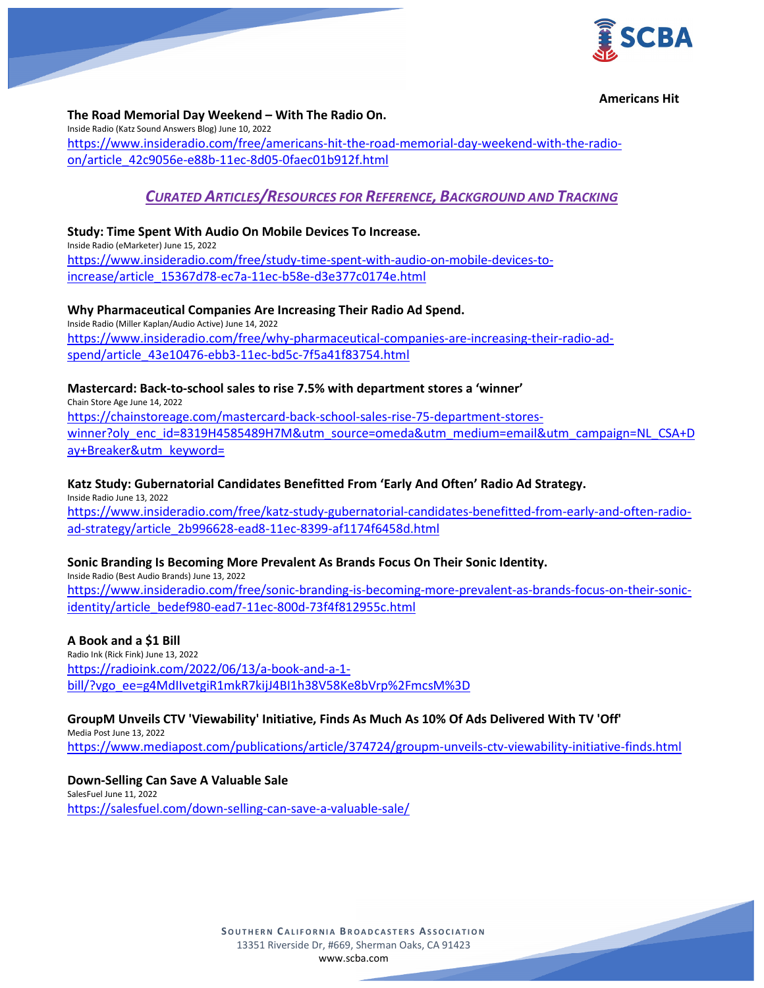

#### **Americans Hit**

**The Road Memorial Day Weekend – With The Radio On.** Inside Radio (Katz Sound Answers Blog) June 10, 2022 [https://www.insideradio.com/free/americans-hit-the-road-memorial-day-weekend-with-the-radio](https://www.insideradio.com/free/americans-hit-the-road-memorial-day-weekend-with-the-radio-on/article_42c9056e-e88b-11ec-8d05-0faec01b912f.html)[on/article\\_42c9056e-e88b-11ec-8d05-0faec01b912f.html](https://www.insideradio.com/free/americans-hit-the-road-memorial-day-weekend-with-the-radio-on/article_42c9056e-e88b-11ec-8d05-0faec01b912f.html)

# *CURATED ARTICLES/RESOURCES FOR REFERENCE, BACKGROUND AND TRACKING*

#### **Study: Time Spent With Audio On Mobile Devices To Increase.** Inside Radio (eMarketer) June 15, 2022

[https://www.insideradio.com/free/study-time-spent-with-audio-on-mobile-devices-to](https://www.insideradio.com/free/study-time-spent-with-audio-on-mobile-devices-to-increase/article_15367d78-ec7a-11ec-b58e-d3e377c0174e.html)[increase/article\\_15367d78-ec7a-11ec-b58e-d3e377c0174e.html](https://www.insideradio.com/free/study-time-spent-with-audio-on-mobile-devices-to-increase/article_15367d78-ec7a-11ec-b58e-d3e377c0174e.html)

**Why Pharmaceutical Companies Are Increasing Their Radio Ad Spend.** Inside Radio (Miller Kaplan/Audio Active) June 14, 2022 [https://www.insideradio.com/free/why-pharmaceutical-companies-are-increasing-their-radio-ad](https://www.insideradio.com/free/why-pharmaceutical-companies-are-increasing-their-radio-ad-spend/article_43e10476-ebb3-11ec-bd5c-7f5a41f83754.html)[spend/article\\_43e10476-ebb3-11ec-bd5c-7f5a41f83754.html](https://www.insideradio.com/free/why-pharmaceutical-companies-are-increasing-their-radio-ad-spend/article_43e10476-ebb3-11ec-bd5c-7f5a41f83754.html)

#### **Mastercard: Back-to-school sales to rise 7.5% with department stores a 'winner'**

Chain Store Age June 14, 2022 [https://chainstoreage.com/mastercard-back-school-sales-rise-75-department-stores](https://chainstoreage.com/mastercard-back-school-sales-rise-75-department-stores-winner?oly_enc_id=8319H4585489H7M&utm_source=omeda&utm_medium=email&utm_campaign=NL_CSA+Day+Breaker&utm_keyword=)[winner?oly\\_enc\\_id=8319H4585489H7M&utm\\_source=omeda&utm\\_medium=email&utm\\_campaign=NL\\_CSA+D](https://chainstoreage.com/mastercard-back-school-sales-rise-75-department-stores-winner?oly_enc_id=8319H4585489H7M&utm_source=omeda&utm_medium=email&utm_campaign=NL_CSA+Day+Breaker&utm_keyword=) [ay+Breaker&utm\\_keyword=](https://chainstoreage.com/mastercard-back-school-sales-rise-75-department-stores-winner?oly_enc_id=8319H4585489H7M&utm_source=omeda&utm_medium=email&utm_campaign=NL_CSA+Day+Breaker&utm_keyword=)

#### **Katz Study: Gubernatorial Candidates Benefitted From 'Early And Often' Radio Ad Strategy.**

Inside Radio June 13, 2022 [https://www.insideradio.com/free/katz-study-gubernatorial-candidates-benefitted-from-early-and-often-radio](https://www.insideradio.com/free/katz-study-gubernatorial-candidates-benefitted-from-early-and-often-radio-ad-strategy/article_2b996628-ead8-11ec-8399-af1174f6458d.html)[ad-strategy/article\\_2b996628-ead8-11ec-8399-af1174f6458d.html](https://www.insideradio.com/free/katz-study-gubernatorial-candidates-benefitted-from-early-and-often-radio-ad-strategy/article_2b996628-ead8-11ec-8399-af1174f6458d.html)

## **Sonic Branding Is Becoming More Prevalent As Brands Focus On Their Sonic Identity.**

Inside Radio (Best Audio Brands) June 13, 2022 [https://www.insideradio.com/free/sonic-branding-is-becoming-more-prevalent-as-brands-focus-on-their-sonic](https://www.insideradio.com/free/sonic-branding-is-becoming-more-prevalent-as-brands-focus-on-their-sonic-identity/article_bedef980-ead7-11ec-800d-73f4f812955c.html)[identity/article\\_bedef980-ead7-11ec-800d-73f4f812955c.html](https://www.insideradio.com/free/sonic-branding-is-becoming-more-prevalent-as-brands-focus-on-their-sonic-identity/article_bedef980-ead7-11ec-800d-73f4f812955c.html)

#### **A Book and a \$1 Bill**

Radio Ink (Rick Fink) June 13, 2022 [https://radioink.com/2022/06/13/a-book-and-a-1](https://radioink.com/2022/06/13/a-book-and-a-1-bill/?vgo_ee=g4MdIIvetgiR1mkR7kijJ4BI1h38V58Ke8bVrp%2FmcsM%3D) [bill/?vgo\\_ee=g4MdIIvetgiR1mkR7kijJ4BI1h38V58Ke8bVrp%2FmcsM%3D](https://radioink.com/2022/06/13/a-book-and-a-1-bill/?vgo_ee=g4MdIIvetgiR1mkR7kijJ4BI1h38V58Ke8bVrp%2FmcsM%3D)

## **GroupM Unveils CTV 'Viewability' Initiative, Finds As Much As 10% Of Ads Delivered With TV 'Off'**

Media Post June 13, 2022 <https://www.mediapost.com/publications/article/374724/groupm-unveils-ctv-viewability-initiative-finds.html>

#### **Down-Selling Can Save A Valuable Sale**

SalesFuel June 11, 2022 <https://salesfuel.com/down-selling-can-save-a-valuable-sale/>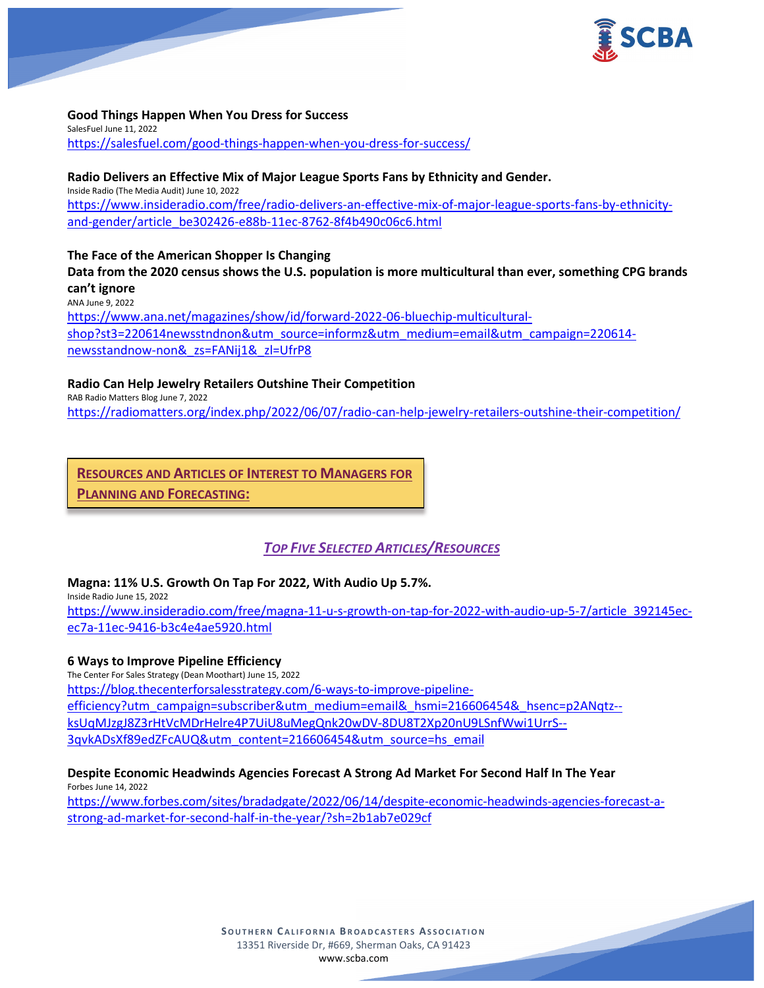

**Good Things Happen When You Dress for Success** SalesFuel June 11, 2022 <https://salesfuel.com/good-things-happen-when-you-dress-for-success/>

**Radio Delivers an Effective Mix of Major League Sports Fans by Ethnicity and Gender.** Inside Radio (The Media Audit) June 10, 2022 [https://www.insideradio.com/free/radio-delivers-an-effective-mix-of-major-league-sports-fans-by-ethnicity](https://www.insideradio.com/free/radio-delivers-an-effective-mix-of-major-league-sports-fans-by-ethnicity-and-gender/article_be302426-e88b-11ec-8762-8f4b490c06c6.html)[and-gender/article\\_be302426-e88b-11ec-8762-8f4b490c06c6.html](https://www.insideradio.com/free/radio-delivers-an-effective-mix-of-major-league-sports-fans-by-ethnicity-and-gender/article_be302426-e88b-11ec-8762-8f4b490c06c6.html)

**The Face of the American Shopper Is Changing**

**Data from the 2020 census shows the U.S. population is more multicultural than ever, something CPG brands can't ignore** ANA June 9, 2022 [https://www.ana.net/magazines/show/id/forward-2022-06-bluechip-multicultural](https://www.ana.net/magazines/show/id/forward-2022-06-bluechip-multicultural-shop?st3=220614newsstndnon&utm_source=informz&utm_medium=email&utm_campaign=220614-newsstandnow-non&_zs=FANij1&_zl=UfrP8)[shop?st3=220614newsstndnon&utm\\_source=informz&utm\\_medium=email&utm\\_campaign=220614](https://www.ana.net/magazines/show/id/forward-2022-06-bluechip-multicultural-shop?st3=220614newsstndnon&utm_source=informz&utm_medium=email&utm_campaign=220614-newsstandnow-non&_zs=FANij1&_zl=UfrP8) [newsstandnow-non&\\_zs=FANij1&\\_zl=UfrP8](https://www.ana.net/magazines/show/id/forward-2022-06-bluechip-multicultural-shop?st3=220614newsstndnon&utm_source=informz&utm_medium=email&utm_campaign=220614-newsstandnow-non&_zs=FANij1&_zl=UfrP8)

**Radio Can Help Jewelry Retailers Outshine Their Competition**

RAB Radio Matters Blog June 7, 2022 <https://radiomatters.org/index.php/2022/06/07/radio-can-help-jewelry-retailers-outshine-their-competition/>

**RESOURCES AND ARTICLES OF INTEREST TO MANAGERS FOR PLANNING AND FORECASTING:**

# *TOP FIVE SELECTED ARTICLES/RESOURCES*

## **Magna: 11% U.S. Growth On Tap For 2022, With Audio Up 5.7%.**

Inside Radio June 15, 2022 [https://www.insideradio.com/free/magna-11-u-s-growth-on-tap-for-2022-with-audio-up-5-7/article\\_392145ec](https://www.insideradio.com/free/magna-11-u-s-growth-on-tap-for-2022-with-audio-up-5-7/article_392145ec-ec7a-11ec-9416-b3c4e4ae5920.html)[ec7a-11ec-9416-b3c4e4ae5920.html](https://www.insideradio.com/free/magna-11-u-s-growth-on-tap-for-2022-with-audio-up-5-7/article_392145ec-ec7a-11ec-9416-b3c4e4ae5920.html)

## **6 Ways to Improve Pipeline Efficiency**

The Center For Sales Strategy (Dean Moothart) June 15, 2022 [https://blog.thecenterforsalesstrategy.com/6-ways-to-improve-pipeline](https://blog.thecenterforsalesstrategy.com/6-ways-to-improve-pipeline-efficiency?utm_campaign=subscriber&utm_medium=email&_hsmi=216606454&_hsenc=p2ANqtz--ksUqMJzgJ8Z3rHtVcMDrHelre4P7UiU8uMegQnk20wDV-8DU8T2Xp20nU9LSnfWwi1UrrS--3qvkADsXf89edZFcAUQ&utm_content=216606454&utm_source=hs_email)[efficiency?utm\\_campaign=subscriber&utm\\_medium=email&\\_hsmi=216606454&\\_hsenc=p2ANqtz-](https://blog.thecenterforsalesstrategy.com/6-ways-to-improve-pipeline-efficiency?utm_campaign=subscriber&utm_medium=email&_hsmi=216606454&_hsenc=p2ANqtz--ksUqMJzgJ8Z3rHtVcMDrHelre4P7UiU8uMegQnk20wDV-8DU8T2Xp20nU9LSnfWwi1UrrS--3qvkADsXf89edZFcAUQ&utm_content=216606454&utm_source=hs_email) [ksUqMJzgJ8Z3rHtVcMDrHelre4P7UiU8uMegQnk20wDV-8DU8T2Xp20nU9LSnfWwi1UrrS--](https://blog.thecenterforsalesstrategy.com/6-ways-to-improve-pipeline-efficiency?utm_campaign=subscriber&utm_medium=email&_hsmi=216606454&_hsenc=p2ANqtz--ksUqMJzgJ8Z3rHtVcMDrHelre4P7UiU8uMegQnk20wDV-8DU8T2Xp20nU9LSnfWwi1UrrS--3qvkADsXf89edZFcAUQ&utm_content=216606454&utm_source=hs_email) [3qvkADsXf89edZFcAUQ&utm\\_content=216606454&utm\\_source=hs\\_email](https://blog.thecenterforsalesstrategy.com/6-ways-to-improve-pipeline-efficiency?utm_campaign=subscriber&utm_medium=email&_hsmi=216606454&_hsenc=p2ANqtz--ksUqMJzgJ8Z3rHtVcMDrHelre4P7UiU8uMegQnk20wDV-8DU8T2Xp20nU9LSnfWwi1UrrS--3qvkADsXf89edZFcAUQ&utm_content=216606454&utm_source=hs_email)

# **Despite Economic Headwinds Agencies Forecast A Strong Ad Market For Second Half In The Year**

Forbes June 14, 2022 [https://www.forbes.com/sites/bradadgate/2022/06/14/despite-economic-headwinds-agencies-forecast-a](https://www.forbes.com/sites/bradadgate/2022/06/14/despite-economic-headwinds-agencies-forecast-a-strong-ad-market-for-second-half-in-the-year/?sh=2b1ab7e029cf)[strong-ad-market-for-second-half-in-the-year/?sh=2b1ab7e029cf](https://www.forbes.com/sites/bradadgate/2022/06/14/despite-economic-headwinds-agencies-forecast-a-strong-ad-market-for-second-half-in-the-year/?sh=2b1ab7e029cf)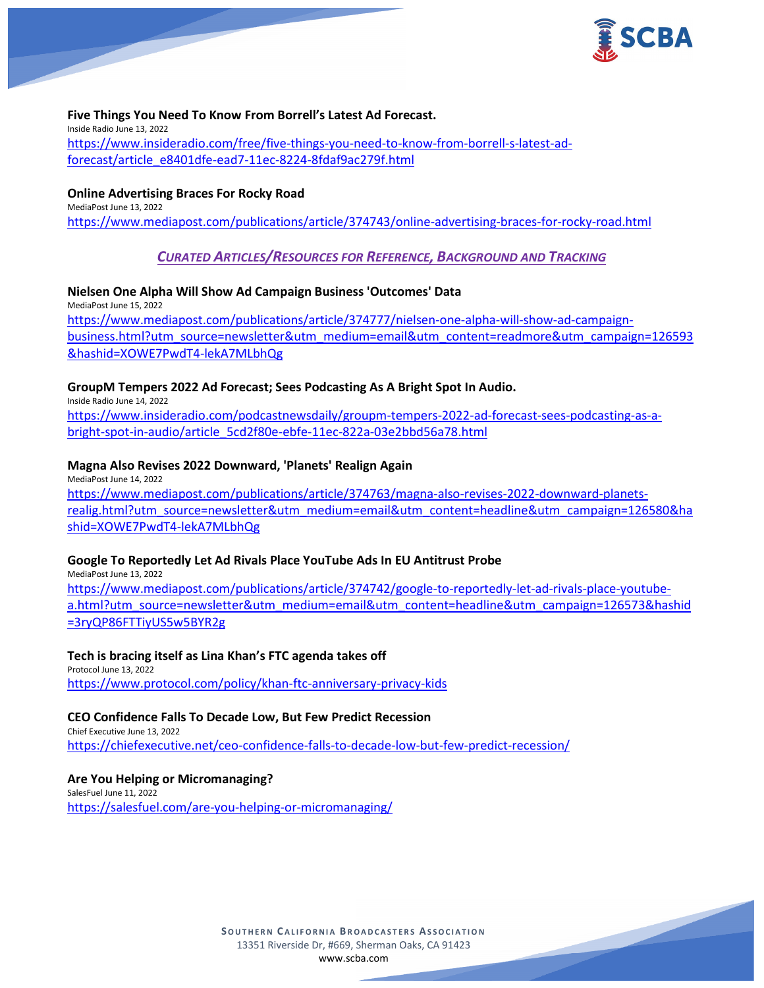

### **Five Things You Need To Know From Borrell's Latest Ad Forecast.**

Inside Radio June 13, 2022 [https://www.insideradio.com/free/five-things-you-need-to-know-from-borrell-s-latest-ad](https://www.insideradio.com/free/five-things-you-need-to-know-from-borrell-s-latest-ad-forecast/article_e8401dfe-ead7-11ec-8224-8fdaf9ac279f.html)[forecast/article\\_e8401dfe-ead7-11ec-8224-8fdaf9ac279f.html](https://www.insideradio.com/free/five-things-you-need-to-know-from-borrell-s-latest-ad-forecast/article_e8401dfe-ead7-11ec-8224-8fdaf9ac279f.html)

### **Online Advertising Braces For Rocky Road**

MediaPost June 13, 2022 <https://www.mediapost.com/publications/article/374743/online-advertising-braces-for-rocky-road.html>

# *CURATED ARTICLES/RESOURCES FOR REFERENCE, BACKGROUND AND TRACKING*

**Nielsen One Alpha Will Show Ad Campaign Business 'Outcomes' Data** MediaPost June 15, 2022 [https://www.mediapost.com/publications/article/374777/nielsen-one-alpha-will-show-ad-campaign](https://www.mediapost.com/publications/article/374777/nielsen-one-alpha-will-show-ad-campaign-business.html?utm_source=newsletter&utm_medium=email&utm_content=readmore&utm_campaign=126593&hashid=XOWE7PwdT4-lekA7MLbhQg)[business.html?utm\\_source=newsletter&utm\\_medium=email&utm\\_content=readmore&utm\\_campaign=126593](https://www.mediapost.com/publications/article/374777/nielsen-one-alpha-will-show-ad-campaign-business.html?utm_source=newsletter&utm_medium=email&utm_content=readmore&utm_campaign=126593&hashid=XOWE7PwdT4-lekA7MLbhQg) [&hashid=XOWE7PwdT4-lekA7MLbhQg](https://www.mediapost.com/publications/article/374777/nielsen-one-alpha-will-show-ad-campaign-business.html?utm_source=newsletter&utm_medium=email&utm_content=readmore&utm_campaign=126593&hashid=XOWE7PwdT4-lekA7MLbhQg)

## **GroupM Tempers 2022 Ad Forecast; Sees Podcasting As A Bright Spot In Audio.**

Inside Radio June 14, 2022 [https://www.insideradio.com/podcastnewsdaily/groupm-tempers-2022-ad-forecast-sees-podcasting-as-a](https://www.insideradio.com/podcastnewsdaily/groupm-tempers-2022-ad-forecast-sees-podcasting-as-a-bright-spot-in-audio/article_5cd2f80e-ebfe-11ec-822a-03e2bbd56a78.html)[bright-spot-in-audio/article\\_5cd2f80e-ebfe-11ec-822a-03e2bbd56a78.html](https://www.insideradio.com/podcastnewsdaily/groupm-tempers-2022-ad-forecast-sees-podcasting-as-a-bright-spot-in-audio/article_5cd2f80e-ebfe-11ec-822a-03e2bbd56a78.html)

#### **Magna Also Revises 2022 Downward, 'Planets' Realign Again**

MediaPost June 14, 2022 [https://www.mediapost.com/publications/article/374763/magna-also-revises-2022-downward-planets](https://www.mediapost.com/publications/article/374763/magna-also-revises-2022-downward-planets-realig.html?utm_source=newsletter&utm_medium=email&utm_content=headline&utm_campaign=126580&hashid=XOWE7PwdT4-lekA7MLbhQg)[realig.html?utm\\_source=newsletter&utm\\_medium=email&utm\\_content=headline&utm\\_campaign=126580&ha](https://www.mediapost.com/publications/article/374763/magna-also-revises-2022-downward-planets-realig.html?utm_source=newsletter&utm_medium=email&utm_content=headline&utm_campaign=126580&hashid=XOWE7PwdT4-lekA7MLbhQg) [shid=XOWE7PwdT4-lekA7MLbhQg](https://www.mediapost.com/publications/article/374763/magna-also-revises-2022-downward-planets-realig.html?utm_source=newsletter&utm_medium=email&utm_content=headline&utm_campaign=126580&hashid=XOWE7PwdT4-lekA7MLbhQg)

## **Google To Reportedly Let Ad Rivals Place YouTube Ads In EU Antitrust Probe**

MediaPost June 13, 2022 [https://www.mediapost.com/publications/article/374742/google-to-reportedly-let-ad-rivals-place-youtube](https://www.mediapost.com/publications/article/374742/google-to-reportedly-let-ad-rivals-place-youtube-a.html?utm_source=newsletter&utm_medium=email&utm_content=headline&utm_campaign=126573&hashid=3ryQP86FTTiyUS5w5BYR2g)[a.html?utm\\_source=newsletter&utm\\_medium=email&utm\\_content=headline&utm\\_campaign=126573&hashid](https://www.mediapost.com/publications/article/374742/google-to-reportedly-let-ad-rivals-place-youtube-a.html?utm_source=newsletter&utm_medium=email&utm_content=headline&utm_campaign=126573&hashid=3ryQP86FTTiyUS5w5BYR2g) [=3ryQP86FTTiyUS5w5BYR2g](https://www.mediapost.com/publications/article/374742/google-to-reportedly-let-ad-rivals-place-youtube-a.html?utm_source=newsletter&utm_medium=email&utm_content=headline&utm_campaign=126573&hashid=3ryQP86FTTiyUS5w5BYR2g)

#### **Tech is bracing itself as Lina Khan's FTC agenda takes off**

Protocol June 13, 2022 <https://www.protocol.com/policy/khan-ftc-anniversary-privacy-kids>

#### **CEO Confidence Falls To Decade Low, But Few Predict Recession**

Chief Executive June 13, 2022 <https://chiefexecutive.net/ceo-confidence-falls-to-decade-low-but-few-predict-recession/>

#### **Are You Helping or Micromanaging?**

SalesFuel June 11, 2022 <https://salesfuel.com/are-you-helping-or-micromanaging/>

> **SOUTHERN C ALIFORNIA B ROADCASTERS ASSOCIATION** 13351 Riverside Dr, #669, Sherman Oaks, CA 91423 [www.scba.com](http://www.scba.com/)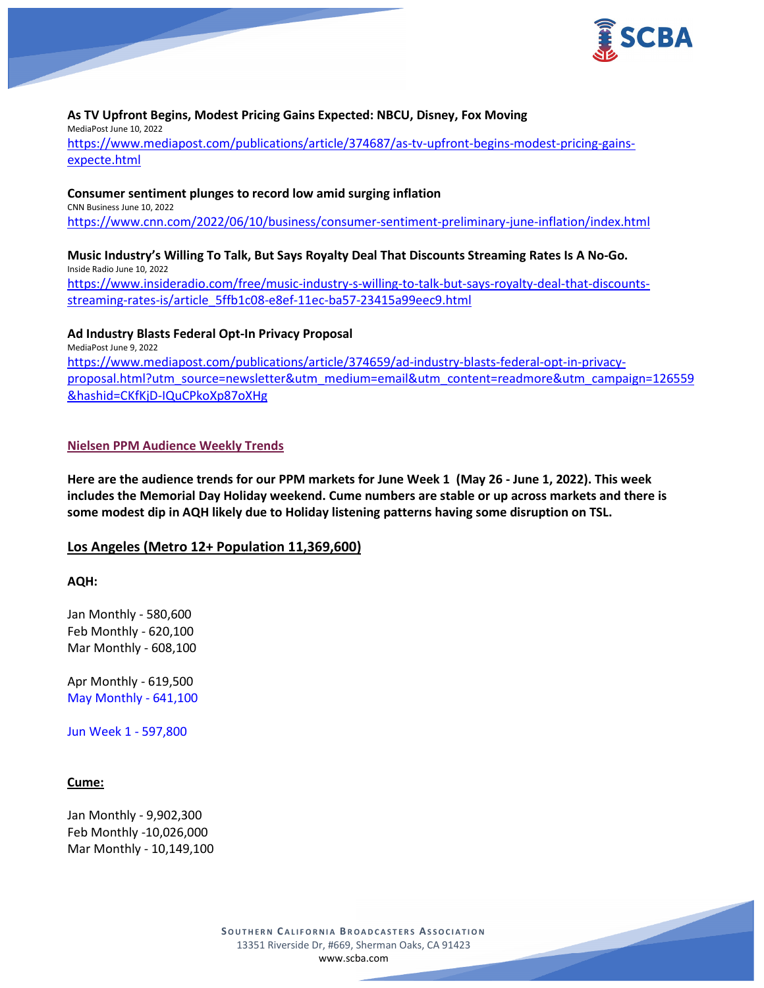

#### **As TV Upfront Begins, Modest Pricing Gains Expected: NBCU, Disney, Fox Moving** MediaPost June 10, 2022 [https://www.mediapost.com/publications/article/374687/as-tv-upfront-begins-modest-pricing-gains-](https://www.mediapost.com/publications/article/374687/as-tv-upfront-begins-modest-pricing-gains-expecte.html)

[expecte.html](https://www.mediapost.com/publications/article/374687/as-tv-upfront-begins-modest-pricing-gains-expecte.html)

#### **Consumer sentiment plunges to record low amid surging inflation**

CNN Business June 10, 2022 <https://www.cnn.com/2022/06/10/business/consumer-sentiment-preliminary-june-inflation/index.html>

# **Music Industry's Willing To Talk, But Says Royalty Deal That Discounts Streaming Rates Is A No-Go.** Inside Radio June 10, 2022

[https://www.insideradio.com/free/music-industry-s-willing-to-talk-but-says-royalty-deal-that-discounts](https://www.insideradio.com/free/music-industry-s-willing-to-talk-but-says-royalty-deal-that-discounts-streaming-rates-is/article_5ffb1c08-e8ef-11ec-ba57-23415a99eec9.html)[streaming-rates-is/article\\_5ffb1c08-e8ef-11ec-ba57-23415a99eec9.html](https://www.insideradio.com/free/music-industry-s-willing-to-talk-but-says-royalty-deal-that-discounts-streaming-rates-is/article_5ffb1c08-e8ef-11ec-ba57-23415a99eec9.html)

## **Ad Industry Blasts Federal Opt-In Privacy Proposal**

MediaPost June 9, 2022 [https://www.mediapost.com/publications/article/374659/ad-industry-blasts-federal-opt-in-privacy](https://www.mediapost.com/publications/article/374659/ad-industry-blasts-federal-opt-in-privacy-proposal.html?utm_source=newsletter&utm_medium=email&utm_content=readmore&utm_campaign=126559&hashid=CKfKjD-IQuCPkoXp87oXHg)[proposal.html?utm\\_source=newsletter&utm\\_medium=email&utm\\_content=readmore&utm\\_campaign=126559](https://www.mediapost.com/publications/article/374659/ad-industry-blasts-federal-opt-in-privacy-proposal.html?utm_source=newsletter&utm_medium=email&utm_content=readmore&utm_campaign=126559&hashid=CKfKjD-IQuCPkoXp87oXHg) [&hashid=CKfKjD-IQuCPkoXp87oXHg](https://www.mediapost.com/publications/article/374659/ad-industry-blasts-federal-opt-in-privacy-proposal.html?utm_source=newsletter&utm_medium=email&utm_content=readmore&utm_campaign=126559&hashid=CKfKjD-IQuCPkoXp87oXHg)

## **Nielsen PPM Audience Weekly Trends**

**Here are the audience trends for our PPM markets for June Week 1 (May 26 - June 1, 2022). This week includes the Memorial Day Holiday weekend. Cume numbers are stable or up across markets and there is some modest dip in AQH likely due to Holiday listening patterns having some disruption on TSL.**

## **Los Angeles (Metro 12+ Population 11,369,600)**

**AQH:**

Jan Monthly - 580,600 Feb Monthly - 620,100 Mar Monthly - 608,100

Apr Monthly - 619,500 May Monthly - 641,100

Jun Week 1 - 597,800

## **Cume:**

Jan Monthly - 9,902,300 Feb Monthly -10,026,000 Mar Monthly - 10,149,100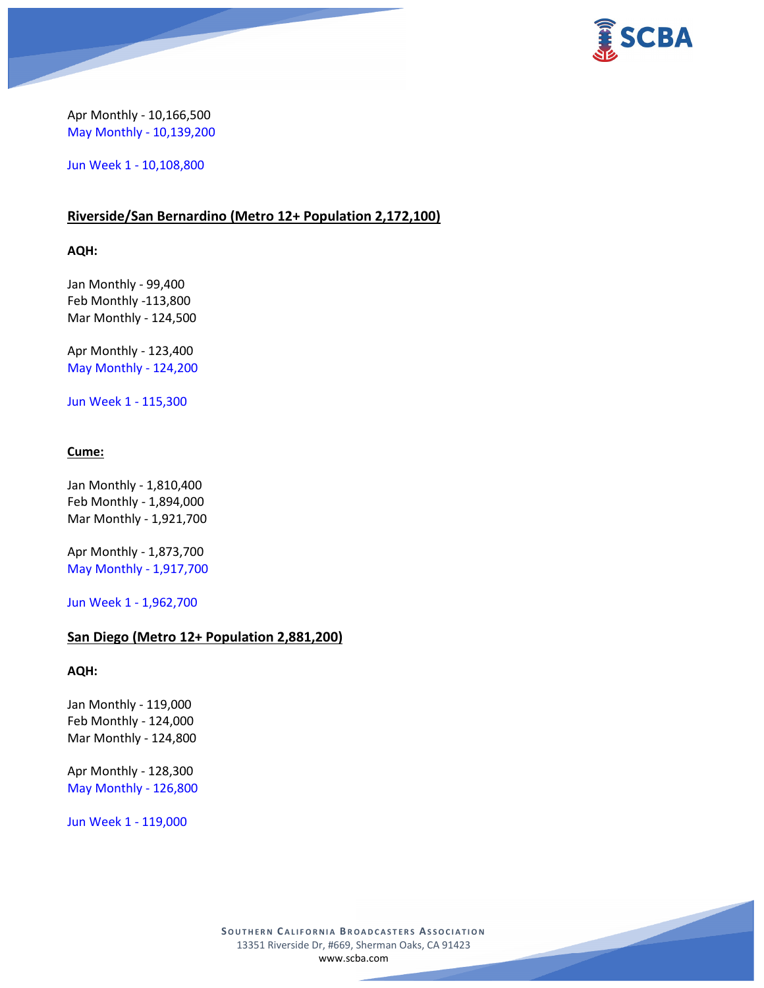



Apr Monthly - 10,166,500 May Monthly - 10,139,200

Jun Week 1 - 10,108,800

# **Riverside/San Bernardino (Metro 12+ Population 2,172,100)**

**AQH:**

Jan Monthly - 99,400 Feb Monthly -113,800 Mar Monthly - 124,500

Apr Monthly - 123,400 May Monthly - 124,200

Jun Week 1 - 115,300

## **Cume:**

Jan Monthly - 1,810,400 Feb Monthly - 1,894,000 Mar Monthly - 1,921,700

Apr Monthly - 1,873,700 May Monthly - 1,917,700

Jun Week 1 - 1,962,700

# **San Diego (Metro 12+ Population 2,881,200)**

#### **AQH:**

Jan Monthly - 119,000 Feb Monthly - 124,000 Mar Monthly - 124,800

Apr Monthly - 128,300 May Monthly - 126,800

Jun Week 1 - 119,000